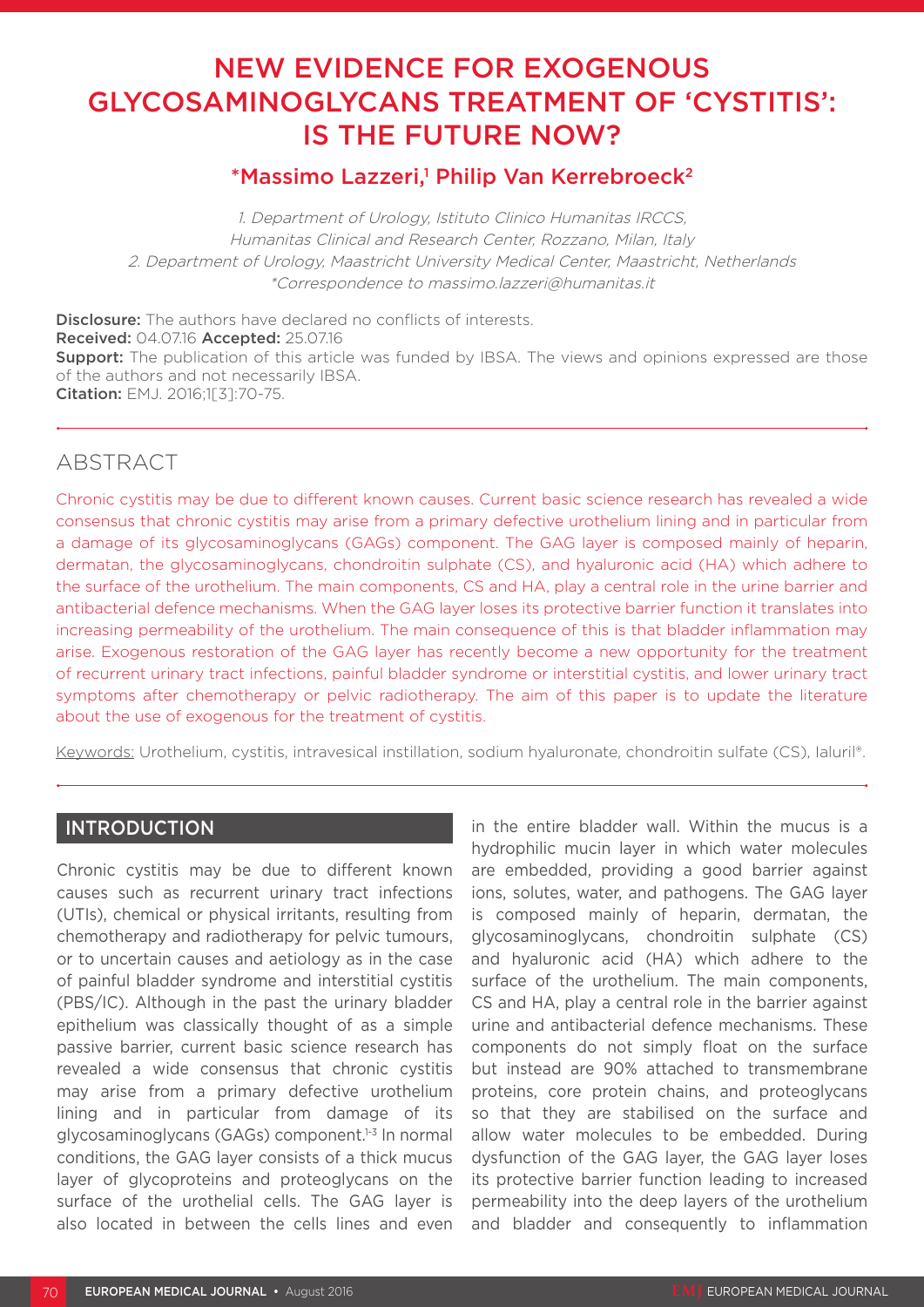# NEW EVIDENCE FOR EXOGENOUS GLYCOSAMINOGLYCANS TREATMENT OF 'CYSTITIS': IS THE FUTURE NOW?

## \*Massimo Lazzeri,<sup>1</sup> Philip Van Kerrebroeck<sup>2</sup>

1. Department of Urology, Istituto Clinico Humanitas IRCCS, Humanitas Clinical and Research Center, Rozzano, Milan, Italy 2. Department of Urology, Maastricht University Medical Center, Maastricht, Netherlands \*Correspondence to massimo.lazzeri@humanitas.it

**Disclosure:** The authors have declared no conflicts of interests. Received: 04.07.16 Accepted: 25.07.16 **Support:** The publication of this article was funded by IBSA. The views and opinions expressed are those of the authors and not necessarily IBSA. Citation: EMJ. 2016;1[3]:70-75.

## ABSTRACT

Chronic cystitis may be due to different known causes. Current basic science research has revealed a wide consensus that chronic cystitis may arise from a primary defective urothelium lining and in particular from a damage of its glycosaminoglycans (GAGs) component. The GAG layer is composed mainly of heparin, dermatan, the glycosaminoglycans, chondroitin sulphate (CS), and hyaluronic acid (HA) which adhere to the surface of the urothelium. The main components, CS and HA, play a central role in the urine barrier and antibacterial defence mechanisms. When the GAG layer loses its protective barrier function it translates into increasing permeability of the urothelium. The main consequence of this is that bladder inflammation may arise. Exogenous restoration of the GAG layer has recently become a new opportunity for the treatment of recurrent urinary tract infections, painful bladder syndrome or interstitial cystitis, and lower urinary tract symptoms after chemotherapy or pelvic radiotherapy. The aim of this paper is to update the literature about the use of exogenous for the treatment of cystitis.

Keywords: Urothelium, cystitis, intravesical instillation, sodium hyaluronate, chondroitin sulfate (CS), Ialuril®.

### INTRODUCTION

Chronic cystitis may be due to different known causes such as recurrent urinary tract infections (UTIs), chemical or physical irritants, resulting from chemotherapy and radiotherapy for pelvic tumours, or to uncertain causes and aetiology as in the case of painful bladder syndrome and interstitial cystitis (PBS/IC). Although in the past the urinary bladder epithelium was classically thought of as a simple passive barrier, current basic science research has revealed a wide consensus that chronic cystitis may arise from a primary defective urothelium lining and in particular from damage of its glycosaminoglycans (GAGs) component.<sup>1-3</sup> In normal conditions, the GAG layer consists of a thick mucus layer of glycoproteins and proteoglycans on the surface of the urothelial cells. The GAG layer is also located in between the cells lines and even

in the entire bladder wall. Within the mucus is a hydrophilic mucin layer in which water molecules are embedded, providing a good barrier against ions, solutes, water, and pathogens. The GAG layer is composed mainly of heparin, dermatan, the glycosaminoglycans, chondroitin sulphate (CS) and hyaluronic acid (HA) which adhere to the surface of the urothelium. The main components, CS and HA, play a central role in the barrier against urine and antibacterial defence mechanisms. These components do not simply float on the surface but instead are 90% attached to transmembrane proteins, core protein chains, and proteoglycans so that they are stabilised on the surface and allow water molecules to be embedded. During dysfunction of the GAG layer, the GAG layer loses its protective barrier function leading to increased permeability into the deep layers of the urothelium and bladder and consequently to inflammation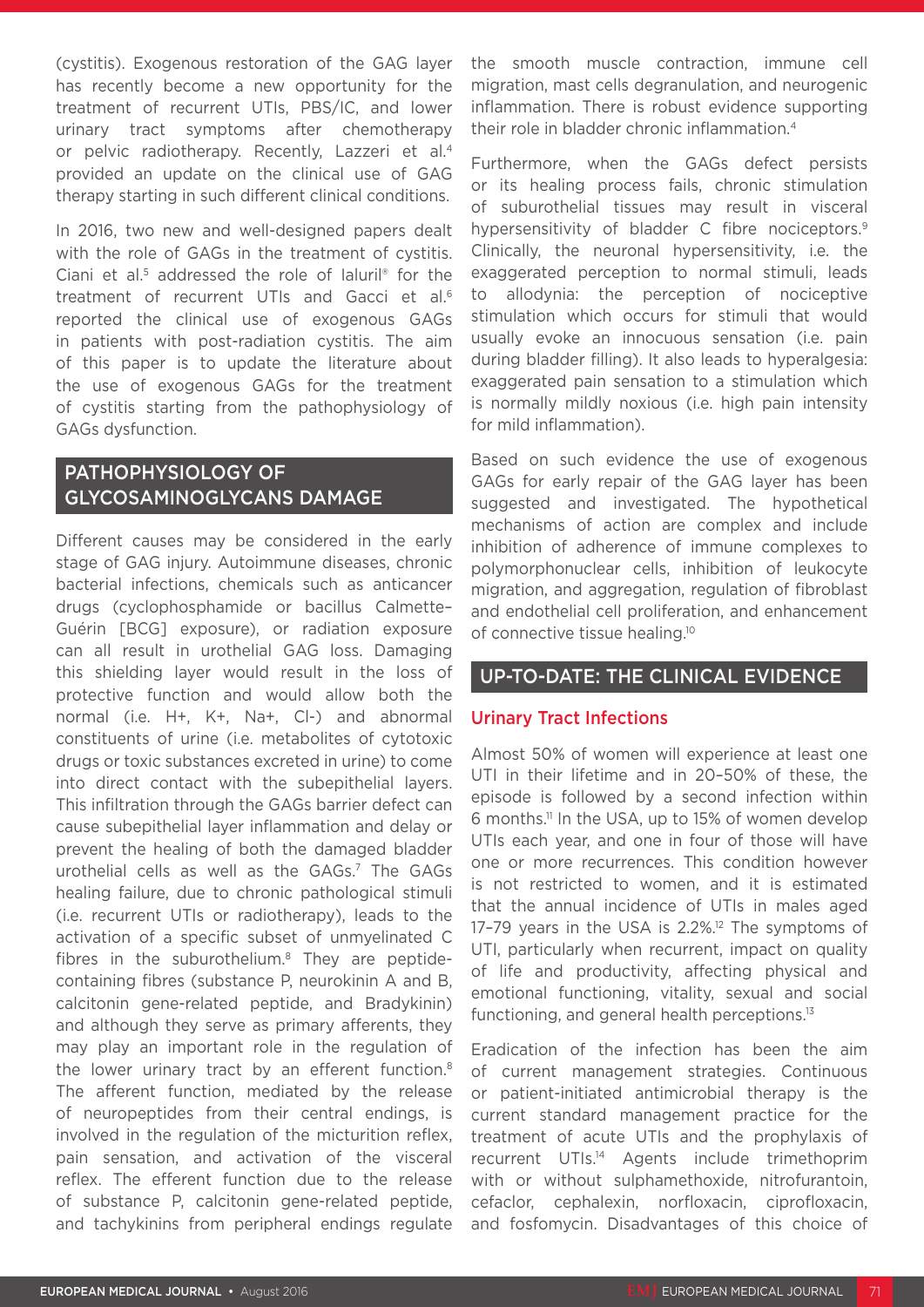(cystitis). Exogenous restoration of the GAG layer has recently become a new opportunity for the treatment of recurrent UTIs, PBS/IC, and lower urinary tract symptoms after chemotherapy or pelvic radiotherapy. Recently, Lazzeri et al.4 provided an update on the clinical use of GAG therapy starting in such different clinical conditions.

In 2016, two new and well-designed papers dealt with the role of GAGs in the treatment of cystitis. Ciani et al.<sup>5</sup> addressed the role of Ialuril<sup>®</sup> for the treatment of recurrent UTIs and Gacci et al.<sup>6</sup> reported the clinical use of exogenous GAGs in patients with post-radiation cystitis. The aim of this paper is to update the literature about the use of exogenous GAGs for the treatment of cystitis starting from the pathophysiology of GAGs dysfunction.

## PATHOPHYSIOLOGY OF GLYCOSAMINOGLYCANS DAMAGE

Different causes may be considered in the early stage of GAG injury. Autoimmune diseases, chronic bacterial infections, chemicals such as anticancer drugs (cyclophosphamide or bacillus Calmette– Guérin [BCG] exposure), or radiation exposure can all result in urothelial GAG loss. Damaging this shielding layer would result in the loss of protective function and would allow both the normal (i.e. H+, K+, Na+, Cl-) and abnormal constituents of urine (i.e. metabolites of cytotoxic drugs or toxic substances excreted in urine) to come into direct contact with the subepithelial layers. This infiltration through the GAGs barrier defect can cause subepithelial layer inflammation and delay or prevent the healing of both the damaged bladder urothelial cells as well as the GAGs.<sup>7</sup> The GAGs healing failure, due to chronic pathological stimuli (i.e. recurrent UTIs or radiotherapy), leads to the activation of a specific subset of unmyelinated C fibres in the suburothelium.<sup>8</sup> They are peptidecontaining fibres (substance P, neurokinin A and B, calcitonin gene-related peptide, and Bradykinin) and although they serve as primary afferents, they may play an important role in the regulation of the lower urinary tract by an efferent function.<sup>8</sup> The afferent function, mediated by the release of neuropeptides from their central endings, is involved in the regulation of the micturition reflex, pain sensation, and activation of the visceral reflex. The efferent function due to the release of substance P, calcitonin gene-related peptide, and tachykinins from peripheral endings regulate

the smooth muscle contraction, immune cell migration, mast cells degranulation, and neurogenic inflammation. There is robust evidence supporting their role in bladder chronic inflammation.<sup>4</sup>

Furthermore, when the GAGs defect persists or its healing process fails, chronic stimulation of suburothelial tissues may result in visceral hypersensitivity of bladder C fibre nociceptors.<sup>9</sup> Clinically, the neuronal hypersensitivity, i.e. the exaggerated perception to normal stimuli, leads to allodynia: the perception of nociceptive stimulation which occurs for stimuli that would usually evoke an innocuous sensation (i.e. pain during bladder filling). It also leads to hyperalgesia: exaggerated pain sensation to a stimulation which is normally mildly noxious (i.e. high pain intensity for mild inflammation).

Based on such evidence the use of exogenous GAGs for early repair of the GAG layer has been suggested and investigated. The hypothetical mechanisms of action are complex and include inhibition of adherence of immune complexes to polymorphonuclear cells, inhibition of leukocyte migration, and aggregation, regulation of fibroblast and endothelial cell proliferation, and enhancement of connective tissue healing.<sup>10</sup>

#### UP-TO-DATE: THE CLINICAL EVIDENCE

#### Urinary Tract Infections

Almost 50% of women will experience at least one UTI in their lifetime and in 20–50% of these, the episode is followed by a second infection within 6 months.11 In the USA, up to 15% of women develop UTIs each year, and one in four of those will have one or more recurrences. This condition however is not restricted to women, and it is estimated that the annual incidence of UTIs in males aged 17-79 years in the USA is 2.2%.<sup>12</sup> The symptoms of UTI, particularly when recurrent, impact on quality of life and productivity, affecting physical and emotional functioning, vitality, sexual and social functioning, and general health perceptions.<sup>13</sup>

Eradication of the infection has been the aim of current management strategies. Continuous or patient-initiated antimicrobial therapy is the current standard management practice for the treatment of acute UTIs and the prophylaxis of recurrent UTIs.14 Agents include trimethoprim with or without sulphamethoxide, nitrofurantoin, cefaclor, cephalexin, norfloxacin, ciprofloxacin, and fosfomycin. Disadvantages of this choice of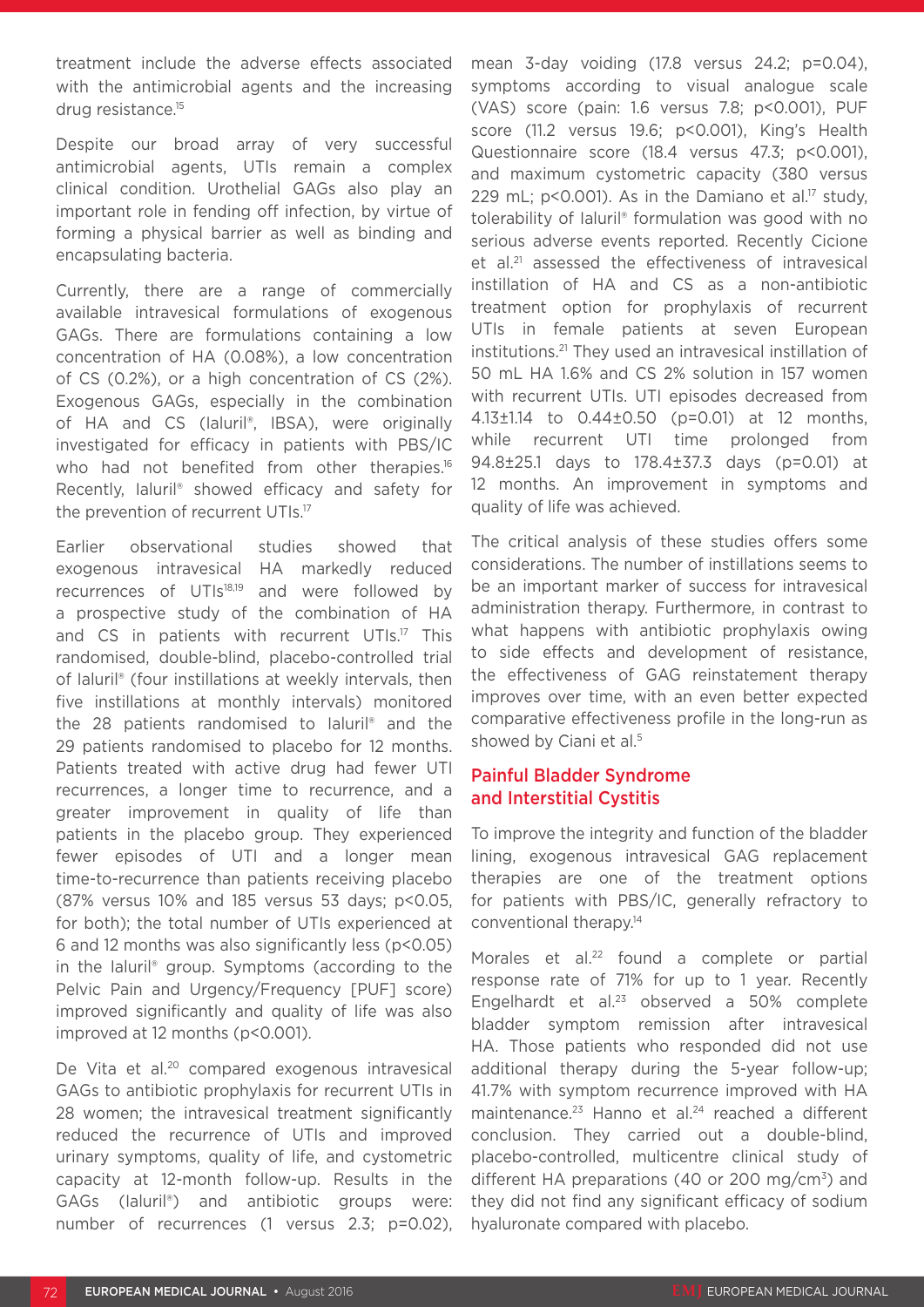treatment include the adverse effects associated with the antimicrobial agents and the increasing drug resistance.<sup>15</sup>

Despite our broad array of very successful antimicrobial agents, UTIs remain a complex clinical condition. Urothelial GAGs also play an important role in fending off infection, by virtue of forming a physical barrier as well as binding and encapsulating bacteria.

Currently, there are a range of commercially available intravesical formulations of exogenous GAGs. There are formulations containing a low concentration of HA (0.08%), a low concentration of CS (0.2%), or a high concentration of CS (2%). Exogenous GAGs, especially in the combination of HA and CS (laluril®, IBSA), were originally investigated for efficacy in patients with PBS/IC who had not benefited from other therapies.<sup>16</sup> Recently, Ialuril® showed efficacy and safety for the prevention of recurrent UTIs.<sup>17</sup>

Earlier observational studies showed that exogenous intravesical HA markedly reduced recurrences of UTIs<sup>18,19</sup> and were followed by a prospective study of the combination of HA and CS in patients with recurrent UTIs.<sup>17</sup> This randomised, double-blind, placebo-controlled trial of Ialuril® (four instillations at weekly intervals, then five instillations at monthly intervals) monitored the 28 patients randomised to Ialuril® and the 29 patients randomised to placebo for 12 months. Patients treated with active drug had fewer UTI recurrences, a longer time to recurrence, and a greater improvement in quality of life than patients in the placebo group. They experienced fewer episodes of UTI and a longer mean time-to-recurrence than patients receiving placebo (87% versus 10% and 185 versus 53 days; p<0.05, for both); the total number of UTIs experienced at 6 and 12 months was also significantly less (p<0.05) in the Ialuril® group. Symptoms (according to the Pelvic Pain and Urgency/Frequency [PUF] score) improved significantly and quality of life was also improved at 12 months (p<0.001).

De Vita et al.<sup>20</sup> compared exogenous intravesical GAGs to antibiotic prophylaxis for recurrent UTIs in 28 women; the intravesical treatment significantly reduced the recurrence of UTIs and improved urinary symptoms, quality of life, and cystometric capacity at 12-month follow-up. Results in the GAGs (Ialuril®) and antibiotic groups were: number of recurrences (1 versus 2.3; p=0.02),

mean 3-day voiding (17.8 versus 24.2; p=0.04), symptoms according to visual analogue scale (VAS) score (pain: 1.6 versus 7.8; p<0.001), PUF score (11.2 versus 19.6; p<0.001), King's Health Questionnaire score (18.4 versus 47.3; p<0.001), and maximum cystometric capacity (380 versus 229 mL; p<0.001). As in the Damiano et al.<sup>17</sup> study, tolerability of Ialuril® formulation was good with no serious adverse events reported. Recently Cicione et al.<sup>21</sup> assessed the effectiveness of intravesical instillation of HA and CS as a non-antibiotic treatment option for prophylaxis of recurrent UTIs in female patients at seven European institutions.21 They used an intravesical instillation of 50 mL HA 1.6% and CS 2% solution in 157 women with recurrent UTIs. UTI episodes decreased from 4.13±1.14 to 0.44±0.50 (p=0.01) at 12 months, while recurrent UTI time prolonged from 94.8±25.1 days to 178.4±37.3 days (p=0.01) at 12 months. An improvement in symptoms and quality of life was achieved.

The critical analysis of these studies offers some considerations. The number of instillations seems to be an important marker of success for intravesical administration therapy. Furthermore, in contrast to what happens with antibiotic prophylaxis owing to side effects and development of resistance, the effectiveness of GAG reinstatement therapy improves over time, with an even better expected comparative effectiveness profile in the long-run as showed by Ciani et al.<sup>5</sup>

#### Painful Bladder Syndrome and Interstitial Cystitis

To improve the integrity and function of the bladder lining, exogenous intravesical GAG replacement therapies are one of the treatment options for patients with PBS/IC, generally refractory to conventional therapy.14

Morales et al.<sup>22</sup> found a complete or partial response rate of 71% for up to 1 year. Recently Engelhardt et al.<sup>23</sup> observed a 50% complete bladder symptom remission after intravesical HA. Those patients who responded did not use additional therapy during the 5-year follow-up; 41.7% with symptom recurrence improved with HA maintenance.<sup>23</sup> Hanno et al.<sup>24</sup> reached a different conclusion. They carried out a double-blind, placebo-controlled, multicentre clinical study of different HA preparations (40 or 200 mg/ $\text{cm}^3$ ) and they did not find any significant efficacy of sodium hyaluronate compared with placebo.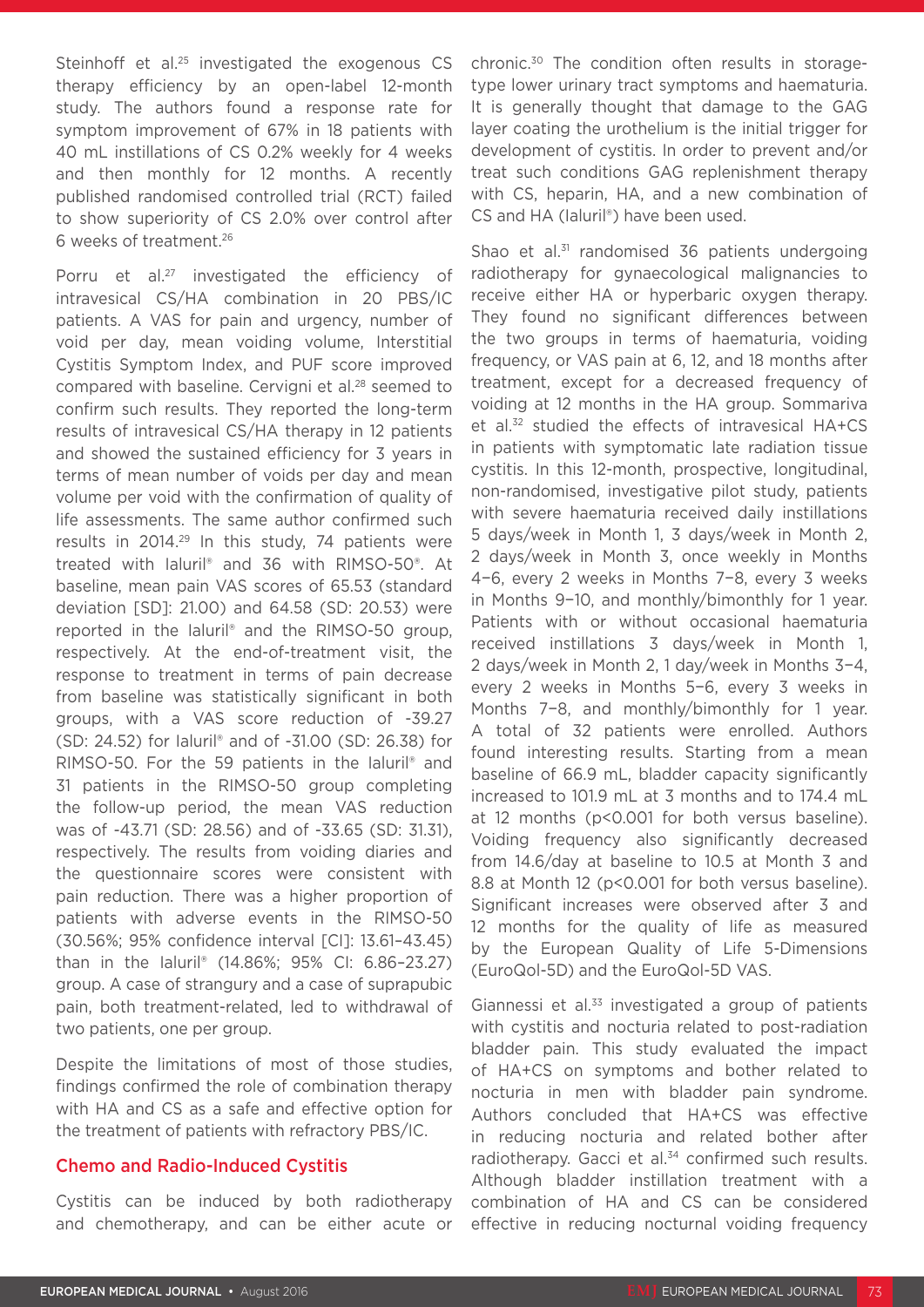Steinhoff et al.<sup>25</sup> investigated the exogenous CS therapy efficiency by an open-label 12-month study. The authors found a response rate for symptom improvement of 67% in 18 patients with 40 mL instillations of CS 0.2% weekly for 4 weeks and then monthly for 12 months. A recently published randomised controlled trial (RCT) failed to show superiority of CS 2.0% over control after 6 weeks of treatment.26

Porru et al.<sup>27</sup> investigated the efficiency of intravesical CS/HA combination in 20 PBS/IC patients. A VAS for pain and urgency, number of void per day, mean voiding volume, Interstitial Cystitis Symptom Index, and PUF score improved compared with baseline. Cervigni et al.<sup>28</sup> seemed to confirm such results. They reported the long-term results of intravesical CS/HA therapy in 12 patients and showed the sustained efficiency for 3 years in terms of mean number of voids per day and mean volume per void with the confirmation of quality of life assessments. The same author confirmed such results in 2014.29 In this study, 74 patients were treated with Ialuril® and 36 with RIMSO-50®. At baseline, mean pain VAS scores of 65.53 (standard deviation [SD]: 21.00) and 64.58 (SD: 20.53) were reported in the Ialuril® and the RIMSO-50 group, respectively. At the end-of-treatment visit, the response to treatment in terms of pain decrease from baseline was statistically significant in both groups, with a VAS score reduction of -39.27 (SD: 24.52) for Ialuril® and of -31.00 (SD: 26.38) for RIMSO-50. For the 59 patients in the Ialuril® and 31 patients in the RIMSO-50 group completing the follow-up period, the mean VAS reduction was of -43.71 (SD: 28.56) and of -33.65 (SD: 31.31), respectively. The results from voiding diaries and the questionnaire scores were consistent with pain reduction. There was a higher proportion of patients with adverse events in the RIMSO-50 (30.56%; 95% confidence interval [CI]: 13.61–43.45) than in the Ialuril® (14.86%; 95% CI: 6.86–23.27) group. A case of strangury and a case of suprapubic pain, both treatment-related, led to withdrawal of two patients, one per group.

Despite the limitations of most of those studies, findings confirmed the role of combination therapy with HA and CS as a safe and effective option for the treatment of patients with refractory PBS/IC.

#### Chemo and Radio-Induced Cystitis

Cystitis can be induced by both radiotherapy and chemotherapy, and can be either acute or chronic.30 The condition often results in storagetype lower urinary tract symptoms and haematuria. It is generally thought that damage to the GAG layer coating the urothelium is the initial trigger for development of cystitis. In order to prevent and/or treat such conditions GAG replenishment therapy with CS, heparin, HA, and a new combination of CS and HA (Ialuril®) have been used.

Shao et al. $31$  randomised 36 patients undergoing radiotherapy for gynaecological malignancies to receive either HA or hyperbaric oxygen therapy. They found no significant differences between the two groups in terms of haematuria, voiding frequency, or VAS pain at 6, 12, and 18 months after treatment, except for a decreased frequency of voiding at 12 months in the HA group. Sommariva et al.32 studied the effects of intravesical HA+CS in patients with symptomatic late radiation tissue cystitis. In this 12-month, prospective, longitudinal, non-randomised, investigative pilot study, patients with severe haematuria received daily instillations 5 days/week in Month 1, 3 days/week in Month 2, 2 days/week in Month 3, once weekly in Months 4−6, every 2 weeks in Months 7−8, every 3 weeks in Months 9−10, and monthly/bimonthly for 1 year. Patients with or without occasional haematuria received instillations 3 days/week in Month 1, 2 days/week in Month 2, 1 day/week in Months 3−4, every 2 weeks in Months 5−6, every 3 weeks in Months 7−8, and monthly/bimonthly for 1 year. A total of 32 patients were enrolled. Authors found interesting results. Starting from a mean baseline of 66.9 mL, bladder capacity significantly increased to 101.9 mL at 3 months and to 174.4 mL at 12 months (p<0.001 for both versus baseline). Voiding frequency also significantly decreased from 14.6/day at baseline to 10.5 at Month 3 and 8.8 at Month 12 (p<0.001 for both versus baseline). Significant increases were observed after 3 and 12 months for the quality of life as measured by the European Quality of Life 5-Dimensions (EuroQol-5D) and the EuroQol-5D VAS.

Giannessi et al.<sup>33</sup> investigated a group of patients with cystitis and nocturia related to post-radiation bladder pain. This study evaluated the impact of HA+CS on symptoms and bother related to nocturia in men with bladder pain syndrome. Authors concluded that HA+CS was effective in reducing nocturia and related bother after radiotherapy. Gacci et al.<sup>34</sup> confirmed such results. Although bladder instillation treatment with a combination of HA and CS can be considered effective in reducing nocturnal voiding frequency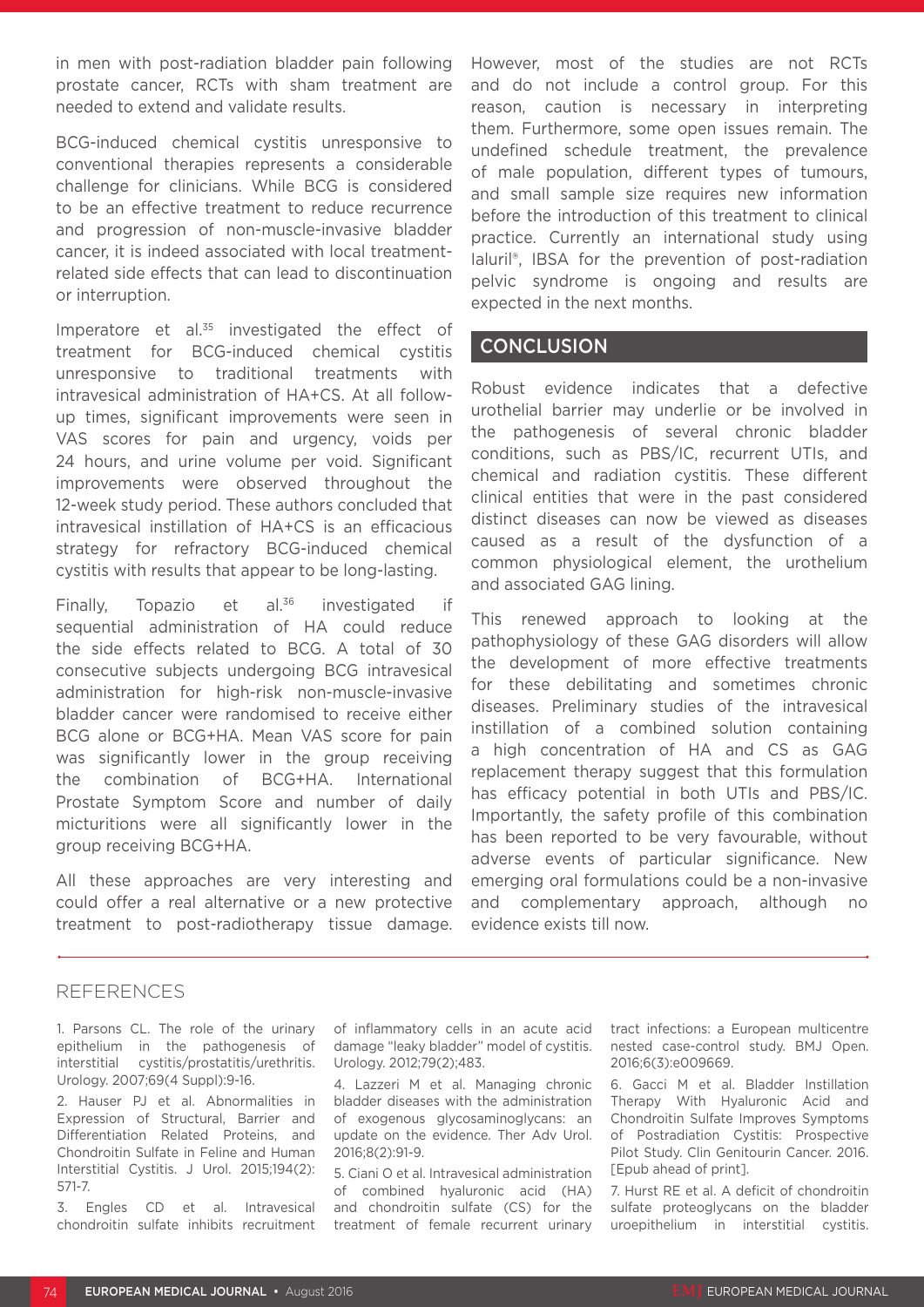in men with post-radiation bladder pain following prostate cancer, RCTs with sham treatment are needed to extend and validate results.

BCG-induced chemical cystitis unresponsive to conventional therapies represents a considerable challenge for clinicians. While BCG is considered to be an effective treatment to reduce recurrence and progression of non-muscle-invasive bladder cancer, it is indeed associated with local treatmentrelated side effects that can lead to discontinuation or interruption.

Imperatore et al.<sup>35</sup> investigated the effect of treatment for BCG-induced chemical cystitis unresponsive to traditional treatments with intravesical administration of HA+CS. At all followup times, significant improvements were seen in VAS scores for pain and urgency, voids per 24 hours, and urine volume per void. Significant improvements were observed throughout the 12-week study period. These authors concluded that intravesical instillation of HA+CS is an efficacious strategy for refractory BCG-induced chemical cystitis with results that appear to be long-lasting.

Finally, Topazio et al.36 investigated if sequential administration of HA could reduce the side effects related to BCG. A total of 30 consecutive subjects undergoing BCG intravesical administration for high-risk non-muscle-invasive bladder cancer were randomised to receive either BCG alone or BCG+HA. Mean VAS score for pain was significantly lower in the group receiving the combination of BCG+HA. International Prostate Symptom Score and number of daily micturitions were all significantly lower in the group receiving BCG+HA.

All these approaches are very interesting and could offer a real alternative or a new protective treatment to post-radiotherapy tissue damage. However, most of the studies are not RCTs and do not include a control group. For this reason, caution is necessary in interpreting them. Furthermore, some open issues remain. The undefined schedule treatment, the prevalence of male population, different types of tumours, and small sample size requires new information before the introduction of this treatment to clinical practice. Currently an international study using Ialuril®, IBSA for the prevention of post-radiation pelvic syndrome is ongoing and results are expected in the next months.

#### **CONCLUSION**

Robust evidence indicates that a defective urothelial barrier may underlie or be involved in the pathogenesis of several chronic bladder conditions, such as PBS/IC, recurrent UTIs, and chemical and radiation cystitis. These different clinical entities that were in the past considered distinct diseases can now be viewed as diseases caused as a result of the dysfunction of a common physiological element, the urothelium and associated GAG lining.

This renewed approach to looking at the pathophysiology of these GAG disorders will allow the development of more effective treatments for these debilitating and sometimes chronic diseases. Preliminary studies of the intravesical instillation of a combined solution containing a high concentration of HA and CS as GAG replacement therapy suggest that this formulation has efficacy potential in both UTIs and PBS/IC. Importantly, the safety profile of this combination has been reported to be very favourable, without adverse events of particular significance. New emerging oral formulations could be a non-invasive and complementary approach, although no evidence exists till now.

#### REFERENCES

1. Parsons CL. The role of the urinary epithelium in the pathogenesis of interstitial cystitis/prostatitis/urethritis. Urology. 2007;69(4 Suppl):9-16.

2. Hauser PJ et al. Abnormalities in Expression of Structural, Barrier and Differentiation Related Proteins, and Chondroitin Sulfate in Feline and Human Interstitial Cystitis. J Urol. 2015;194(2): 571-7.

3. Engles CD et al. Intravesical chondroitin sulfate inhibits recruitment

of inflammatory cells in an acute acid damage "leaky bladder" model of cystitis. Urology. 2012;79(2);483.

4. Lazzeri M et al. Managing chronic bladder diseases with the administration of exogenous glycosaminoglycans: an update on the evidence. Ther Adv Urol. 2016;8(2):91-9.

5. Ciani O et al. Intravesical administration of combined hyaluronic acid (HA) and chondroitin sulfate (CS) for the treatment of female recurrent urinary tract infections: a European multicentre nested case-control study. BMJ Open. 2016;6(3):e009669.

6. Gacci M et al. Bladder Instillation Therapy With Hyaluronic Acid and Chondroitin Sulfate Improves Symptoms of Postradiation Cystitis: Prospective Pilot Study. Clin Genitourin Cancer. 2016. [Epub ahead of print].

7. Hurst RE et al. A deficit of chondroitin sulfate proteoglycans on the bladder uroepithelium in interstitial cystitis.